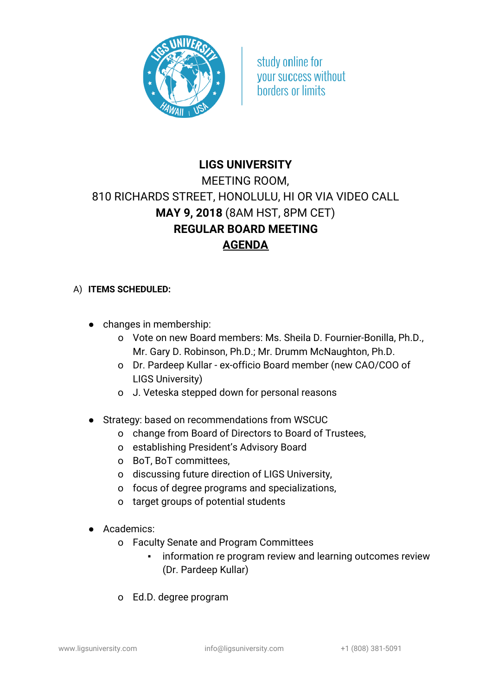

study online for **vour success without** horders or limits

## **LIGS UNIVERSITY** MEETING ROOM, 810 RICHARDS STREET, HONOLULU, HI OR VIA VIDEO CALL **MAY 9, 2018** (8AM HST, 8PM CET) **REGULAR BOARD MEETING AGENDA**

## A) **ITEMS SCHEDULED:**

- changes in membership:
	- o Vote on new Board members: Ms. Sheila D. Fournier-Bonilla, Ph.D., Mr. Gary D. Robinson, Ph.D.; Mr. Drumm McNaughton, Ph.D.
	- o Dr. Pardeep Kullar ex-officio Board member (new CAO/COO of LIGS University)
	- o J. Veteska stepped down for personal reasons
- Strategy: based on recommendations from WSCUC
	- o change from Board of Directors to Board of Trustees,
	- o establishing President's Advisory Board
	- o BoT, BoT committees,
	- o discussing future direction of LIGS University,
	- o focus of degree programs and specializations,
	- o target groups of potential students
- Academics:
	- o Faculty Senate and Program Committees
		- **•** information re program review and learning outcomes review (Dr. Pardeep Kullar)
	- o Ed.D. degree program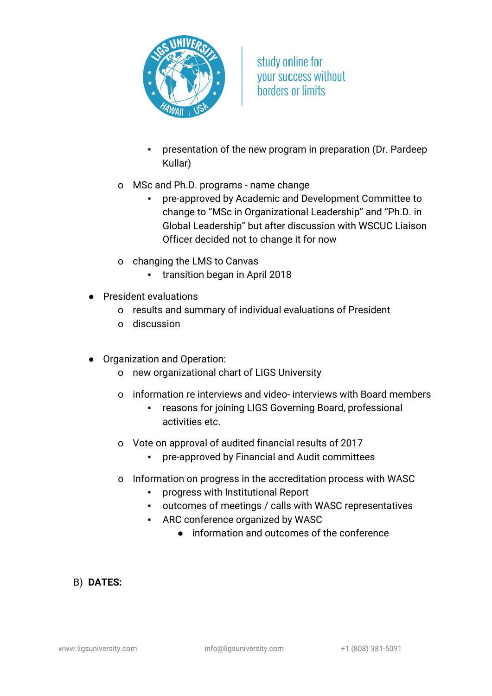

study online for **vour success without** horders or limits

- presentation of the new program in preparation (Dr. Pardeep Kullar)
- o MSc and Ph.D. programs name change
	- pre-approved by Academic and Development Committee to change to "MSc in Organizational Leadership" and "Ph.D. in Global Leadership" but after discussion with WSCUC Liaison Officer decided not to change it for now
- o changing the LMS to Canvas
	- transition began in April 2018
- President evaluations
	- o results and summary of individual evaluations of President
	- o discussion
- Organization and Operation:
	- o new organizational chart of LIGS University
	- o information re interviews and video- interviews with Board members
		- reasons for joining LIGS Governing Board, professional activities etc.
	- o Vote on approval of audited financial results of 2017
		- pre-approved by Financial and Audit committees
	- o Information on progress in the accreditation process with WASC
		- progress with Institutional Report
		- outcomes of meetings / calls with WASC representatives
		- ARC conference organized by WASC
			- information and outcomes of the conference

## B) **DATES:**